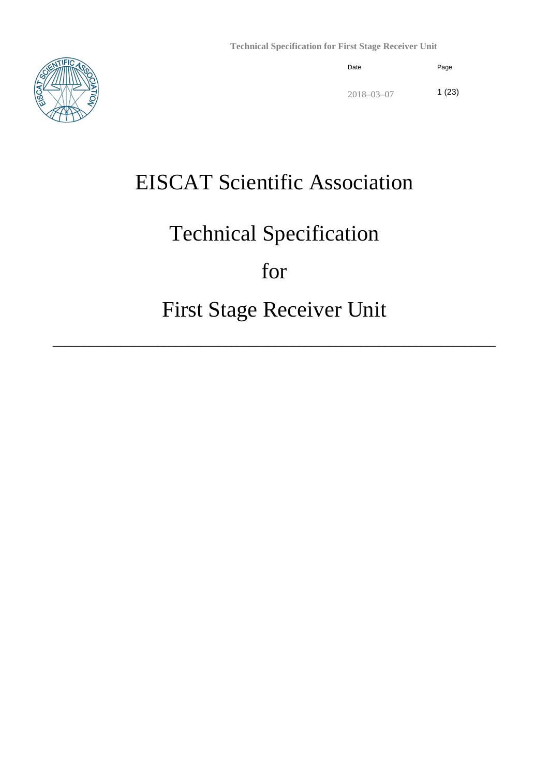

# EISCAT Scientific Association

# Technical Specification

# for

# First Stage Receiver Unit

\_\_\_\_\_\_\_\_\_\_\_\_\_\_\_\_\_\_\_\_\_\_\_\_\_\_\_\_\_\_\_\_\_\_\_\_\_\_\_\_\_\_\_\_\_\_\_\_\_\_\_\_\_\_\_\_\_\_\_\_\_\_\_\_\_\_\_\_\_\_\_\_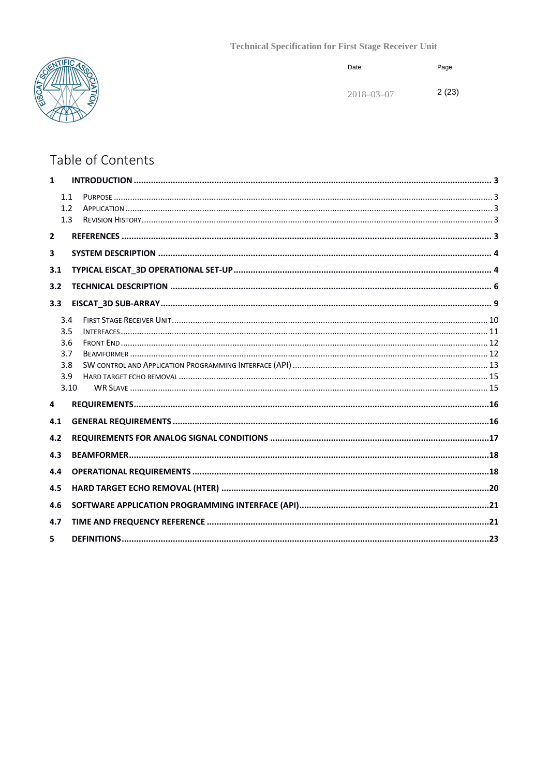

| Date             | Page  |
|------------------|-------|
| $2018 - 03 - 07$ | 2(23) |

# Table of Contents

| $\mathbf{1}$   |                   |  |
|----------------|-------------------|--|
|                | 1.1<br>1.2<br>1.3 |  |
|                |                   |  |
| $\overline{2}$ |                   |  |
| 3              |                   |  |
| 3.1            |                   |  |
| 3.2            |                   |  |
|                |                   |  |
| 3.3            |                   |  |
|                | 3.4               |  |
|                | 3.5               |  |
|                | 3.6<br>3.7        |  |
|                | 3.8               |  |
|                | 3.9               |  |
|                | 3.10              |  |
| 4              |                   |  |
| 4.1            |                   |  |
| 4.2            |                   |  |
| 4.3            |                   |  |
| 4.4            |                   |  |
| 4.5            |                   |  |
| 4.6            |                   |  |
| 4.7            |                   |  |
| 5.             |                   |  |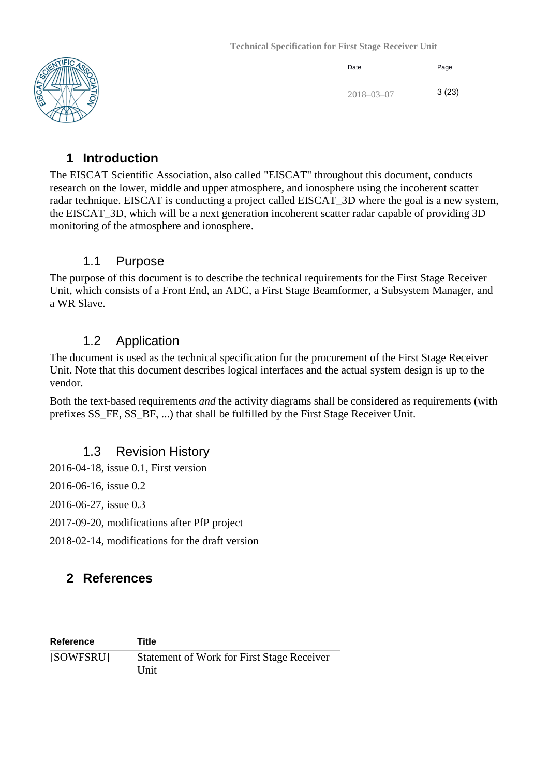

| Date             | Page  |
|------------------|-------|
| $2018 - 03 - 07$ | 3(23) |

#### <span id="page-2-0"></span>**1 Introduction**

The EISCAT Scientific Association, also called "EISCAT" throughout this document, conducts research on the lower, middle and upper atmosphere, and ionosphere using the incoherent scatter radar technique. EISCAT is conducting a project called EISCAT\_3D where the goal is a new system, the EISCAT\_3D, which will be a next generation incoherent scatter radar capable of providing 3D monitoring of the atmosphere and ionosphere.

#### 1.1 Purpose

<span id="page-2-1"></span>The purpose of this document is to describe the technical requirements for the First Stage Receiver Unit, which consists of a Front End, an ADC, a First Stage Beamformer, a Subsystem Manager, and a WR Slave.

#### 1.2 Application

<span id="page-2-2"></span>The document is used as the technical specification for the procurement of the First Stage Receiver Unit. Note that this document describes logical interfaces and the actual system design is up to the vendor.

Both the text-based requirements *and* the activity diagrams shall be considered as requirements (with prefixes SS\_FE, SS\_BF, ...) that shall be fulfilled by the First Stage Receiver Unit.

#### 1.3 Revision History

<span id="page-2-3"></span>2016-04-18, issue 0.1, First version

2016-06-16, issue 0.2

2016-06-27, issue 0.3

2017-09-20, modifications after PfP project

2018-02-14, modifications for the draft version

#### <span id="page-2-4"></span>**2 References**

| <b>Reference</b> | Title                                                     |
|------------------|-----------------------------------------------------------|
| [SOWFSRU]        | <b>Statement of Work for First Stage Receiver</b><br>Unit |
|                  |                                                           |
|                  |                                                           |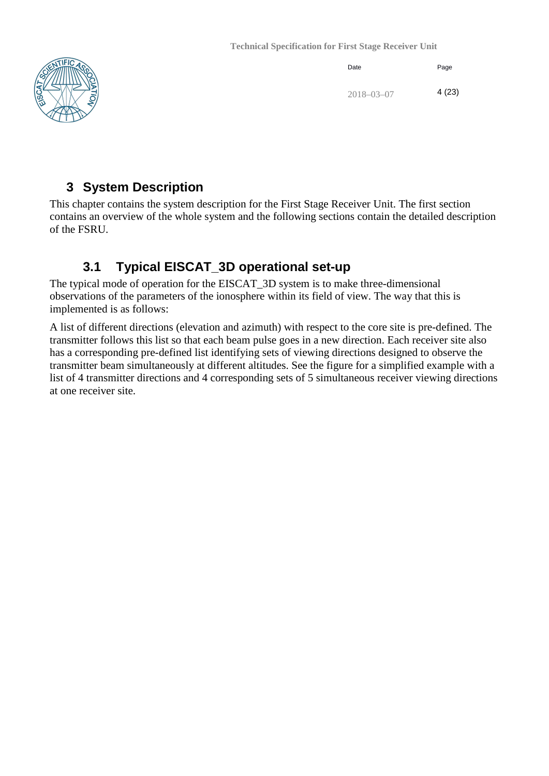

| Date             | Page  |
|------------------|-------|
| $2018 - 03 - 07$ | 4(23) |

## <span id="page-3-0"></span>**3 System Description**

This chapter contains the system description for the First Stage Receiver Unit. The first section contains an overview of the whole system and the following sections contain the detailed description of the FSRU.

## **3.1 Typical EISCAT\_3D operational set-up**

<span id="page-3-1"></span>The typical mode of operation for the EISCAT\_3D system is to make three-dimensional observations of the parameters of the ionosphere within its field of view. The way that this is implemented is as follows:

A list of different directions (elevation and azimuth) with respect to the core site is pre-defined. The transmitter follows this list so that each beam pulse goes in a new direction. Each receiver site also has a corresponding pre-defined list identifying sets of viewing directions designed to observe the transmitter beam simultaneously at different altitudes. See the figure for a simplified example with a list of 4 transmitter directions and 4 corresponding sets of 5 simultaneous receiver viewing directions at one receiver site.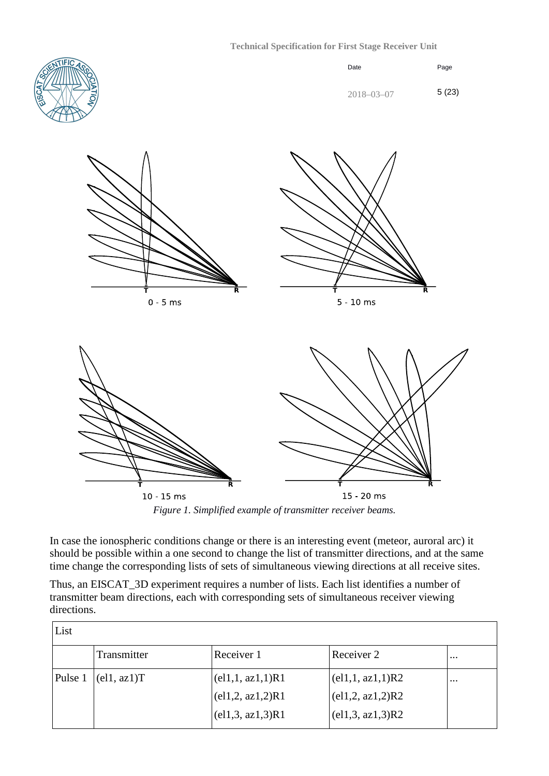

15 - 20 ms  $10 - 15$  ms

*Figure 1. Simplified example of transmitter receiver beams.*

In case the ionospheric conditions change or there is an interesting event (meteor, auroral arc) it should be possible within a one second to change the list of transmitter directions, and at the same time change the corresponding lists of sets of simultaneous viewing directions at all receive sites.

Thus, an EISCAT\_3D experiment requires a number of lists. Each list identifies a number of transmitter beam directions, each with corresponding sets of simultaneous receiver viewing directions.

| List    |                                           |                                   |                                                |          |
|---------|-------------------------------------------|-----------------------------------|------------------------------------------------|----------|
|         | Transmitter                               | Receiver 1                        | Receiver 2                                     | $\cdots$ |
| Pulse 1 | $\left( \text{el1}, \text{az1} \right)$ T | (el1,1, az1,1)R1                  | (el1,1, az1,1)R2                               | $\cdots$ |
|         |                                           | (el1, 2, az1, 2)R1                | $\left( \text{el1,2}, \text{az1,2} \right)$ R2 |          |
|         |                                           | $\text{ (el1,3, az1,3)}\text{R1}$ | (el1,3, az1,3)R2                               |          |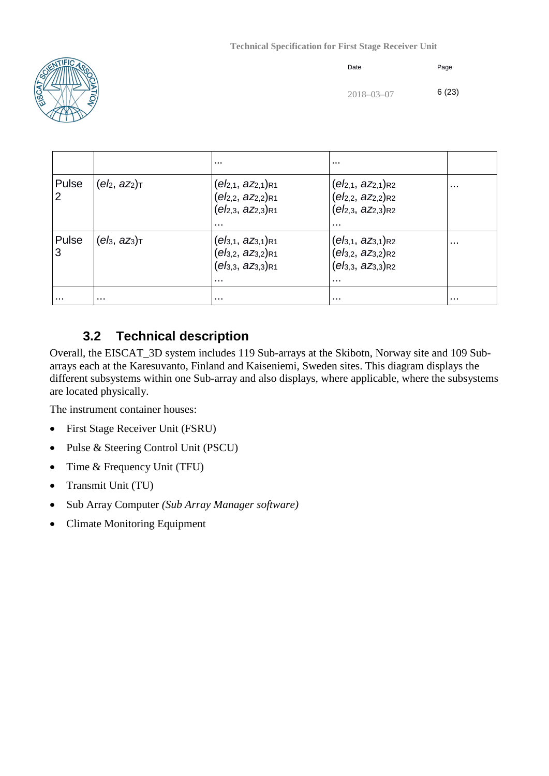

| Date             | Page  |
|------------------|-------|
| $2018 - 03 - 07$ | 6(23) |

|       |              | $\cdots$                                                                                        | $\cdots$                                                                                        |          |
|-------|--------------|-------------------------------------------------------------------------------------------------|-------------------------------------------------------------------------------------------------|----------|
| Pulse | $(eh, az_2)$ | $(e12,1, 22,1)R1$<br>$(e12,2, 22,2)R1$<br>$(e12,3, 22,3)R1$<br>$\cdots$                         | $(eI2,1, aZ2,1)R2$<br>$(e12, 2, 222, 2)$ R2<br>$(eb_{2,3}, a_{2,3})_{R2}$<br>$\cdots$           | $\cdots$ |
| Pulse | $(eh, az_3)$ | $(eI_{3,1}, aZ_{3,1})$ R1<br>$(eI_{3,2}, aZ_{3,2})$ R1<br>$(eI_{3,3}, aZ_{3,3})$ R1<br>$\cdots$ | $(eb_{3,1}, az_{3,1})$ R2<br>$(eb_{3,2}, az_{3,2})$ R2<br>$(eb_{3,3}, az_{3,3})$ R2<br>$\cdots$ | $\cdots$ |
|       | .            | $\cdots$                                                                                        |                                                                                                 | $\cdots$ |

## **3.2 Technical description**

<span id="page-5-0"></span>Overall, the EISCAT\_3D system includes 119 Sub-arrays at the Skibotn, Norway site and 109 Subarrays each at the Karesuvanto, Finland and Kaiseniemi, Sweden sites. This diagram displays the different subsystems within one Sub-array and also displays, where applicable, where the subsystems are located physically.

The instrument container houses:

- First Stage Receiver Unit (FSRU)
- Pulse & Steering Control Unit (PSCU)
- Time & Frequency Unit (TFU)
- Transmit Unit (TU)
- Sub Array Computer *(Sub Array Manager software)*
- Climate Monitoring Equipment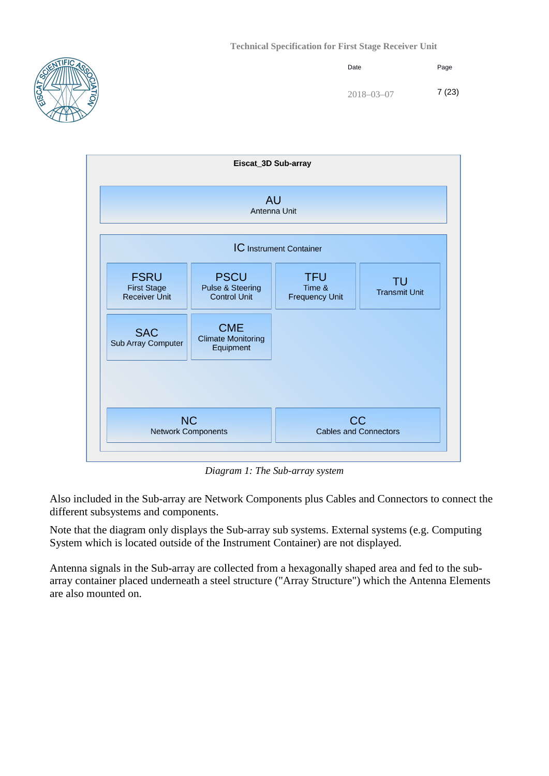







*Diagram 1: The Sub-array system*

Also included in the Sub-array are Network Components plus Cables and Connectors to connect the different subsystems and components.

Note that the diagram only displays the Sub-array sub systems. External systems (e.g. Computing System which is located outside of the Instrument Container) are not displayed.

Antenna signals in the Sub-array are collected from a hexagonally shaped area and fed to the subarray container placed underneath a steel structure ("Array Structure") which the Antenna Elements are also mounted on.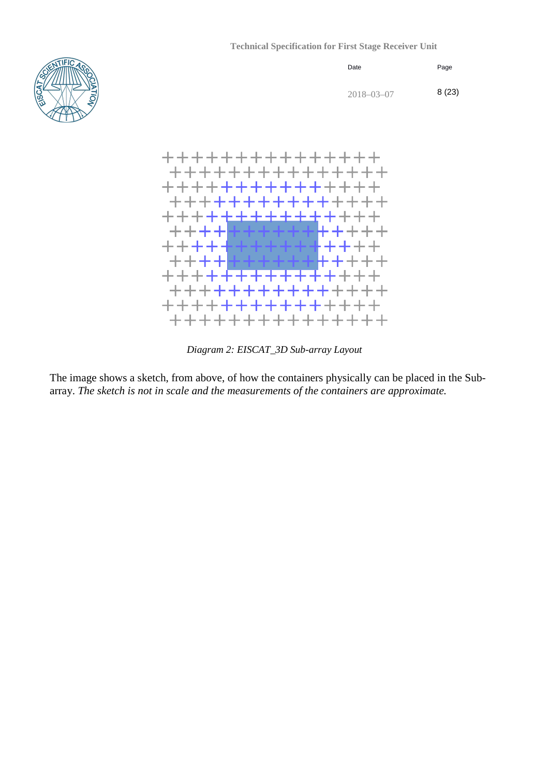





*Diagram 2: EISCAT\_3D Sub-array Layout*

The image shows a sketch, from above, of how the containers physically can be placed in the Subarray. *The sketch is not in scale and the measurements of the containers are approximate.*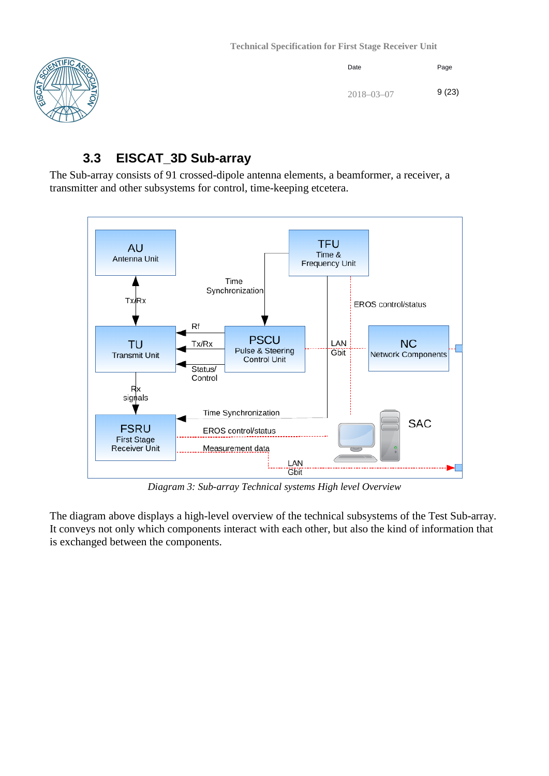

| Date             | Page  |
|------------------|-------|
| $2018 - 03 - 07$ | 9(23) |

## **3.3 EISCAT\_3D Sub-array**

<span id="page-8-0"></span>The Sub-array consists of 91 crossed-dipole antenna elements, a beamformer, a receiver, a transmitter and other subsystems for control, time-keeping etcetera.



*Diagram 3: Sub-array Technical systems High level Overview*

The diagram above displays a high-level overview of the technical subsystems of the Test Sub-array. It conveys not only which components interact with each other, but also the kind of information that is exchanged between the components.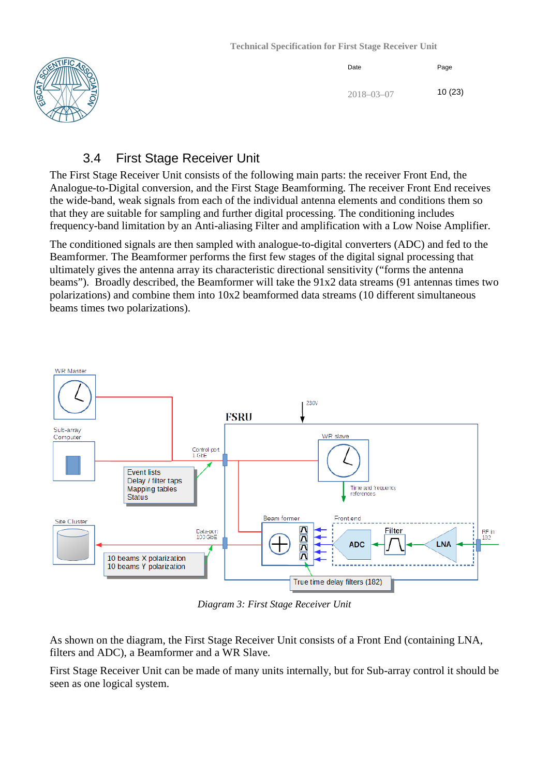

| Date             | Page   |
|------------------|--------|
| $2018 - 03 - 07$ | 10(23) |

### 3.4 First Stage Receiver Unit

<span id="page-9-0"></span>The First Stage Receiver Unit consists of the following main parts: the receiver Front End, the Analogue-to-Digital conversion, and the First Stage Beamforming. The receiver Front End receives the wide-band, weak signals from each of the individual antenna elements and conditions them so that they are suitable for sampling and further digital processing. The conditioning includes frequency-band limitation by an Anti-aliasing Filter and amplification with a Low Noise Amplifier.

The conditioned signals are then sampled with analogue-to-digital converters (ADC) and fed to the Beamformer. The Beamformer performs the first few stages of the digital signal processing that ultimately gives the antenna array its characteristic directional sensitivity ("forms the antenna beams"). Broadly described, the Beamformer will take the 91x2 data streams (91 antennas times two polarizations) and combine them into 10x2 beamformed data streams (10 different simultaneous beams times two polarizations).



*Diagram 3: First Stage Receiver Unit* 

As shown on the diagram, the First Stage Receiver Unit consists of a Front End (containing LNA, filters and ADC), a Beamformer and a WR Slave.

First Stage Receiver Unit can be made of many units internally, but for Sub-array control it should be seen as one logical system.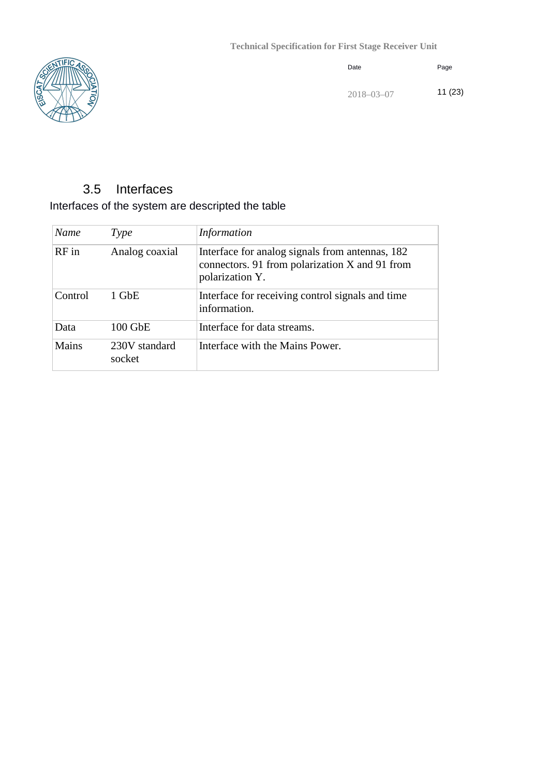

| Date             | Page   |
|------------------|--------|
| $2018 - 03 - 07$ | 11(23) |

# 3.5 Interfaces

#### <span id="page-10-0"></span>Interfaces of the system are descripted the table

| Name    | Type                    | <i>Information</i>                                                                                                   |
|---------|-------------------------|----------------------------------------------------------------------------------------------------------------------|
| $RF$ in | Analog coaxial          | Interface for analog signals from antennas, 182<br>connectors. 91 from polarization X and 91 from<br>polarization Y. |
| Control | 1 GbE                   | Interface for receiving control signals and time<br>information.                                                     |
| Data    | 100 GbE                 | Interface for data streams.                                                                                          |
| Mains   | 230V standard<br>socket | Interface with the Mains Power.                                                                                      |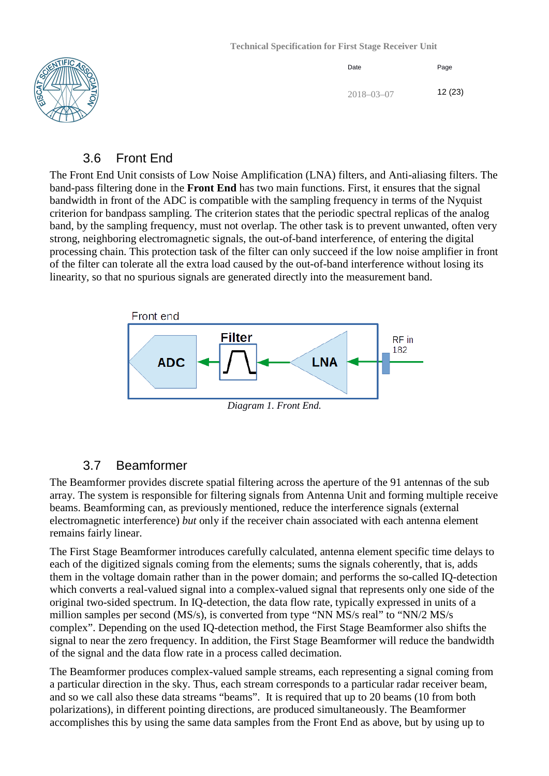

| Date             | Page   |
|------------------|--------|
| $2018 - 03 - 07$ | 12(23) |

#### 3.6 Front End

<span id="page-11-0"></span>The Front End Unit consists of Low Noise Amplification (LNA) filters, and Anti-aliasing filters. The band-pass filtering done in the **Front End** has two main functions. First, it ensures that the signal bandwidth in front of the ADC is compatible with the sampling frequency in terms of the Nyquist criterion for bandpass sampling. The criterion states that the periodic spectral replicas of the analog band, by the sampling frequency, must not overlap. The other task is to prevent unwanted, often very strong, neighboring electromagnetic signals, the out-of-band interference, of entering the digital processing chain. This protection task of the filter can only succeed if the low noise amplifier in front of the filter can tolerate all the extra load caused by the out-of-band interference without losing its linearity, so that no spurious signals are generated directly into the measurement band.



*Diagram 1. Front End.*

#### 3.7 Beamformer

<span id="page-11-1"></span>The Beamformer provides discrete spatial filtering across the aperture of the 91 antennas of the sub array. The system is responsible for filtering signals from Antenna Unit and forming multiple receive beams. Beamforming can, as previously mentioned, reduce the interference signals (external electromagnetic interference) *but* only if the receiver chain associated with each antenna element remains fairly linear.

The First Stage Beamformer introduces carefully calculated, antenna element specific time delays to each of the digitized signals coming from the elements; sums the signals coherently, that is, adds them in the voltage domain rather than in the power domain; and performs the so-called IQ-detection which converts a real-valued signal into a complex-valued signal that represents only one side of the original two-sided spectrum. In IQ-detection, the data flow rate, typically expressed in units of a million samples per second (MS/s), is converted from type "NN MS/s real" to "NN/2 MS/s complex". Depending on the used IQ-detection method, the First Stage Beamformer also shifts the signal to near the zero frequency. In addition, the First Stage Beamformer will reduce the bandwidth of the signal and the data flow rate in a process called decimation.

The Beamformer produces complex-valued sample streams, each representing a signal coming from a particular direction in the sky. Thus, each stream corresponds to a particular radar receiver beam, and so we call also these data streams "beams". It is required that up to 20 beams (10 from both polarizations), in different pointing directions, are produced simultaneously. The Beamformer accomplishes this by using the same data samples from the Front End as above, but by using up to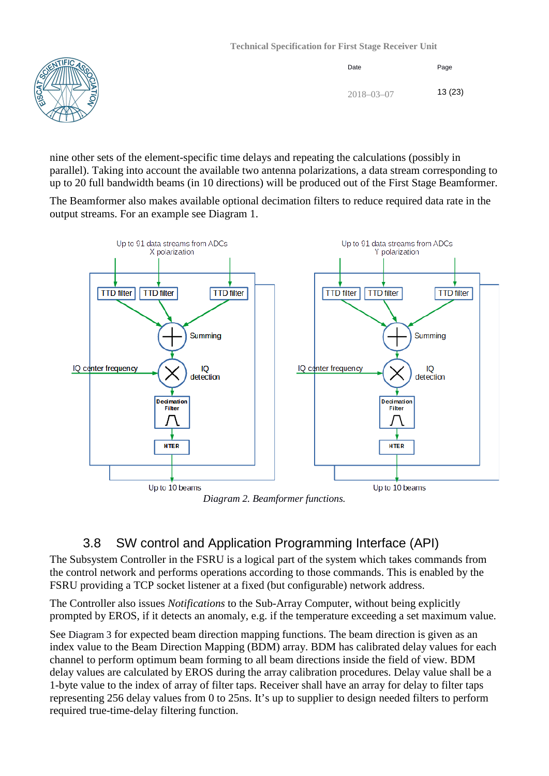



| Date             | Page   |
|------------------|--------|
| $2018 - 03 - 07$ | 13(23) |

nine other sets of the element-specific time delays and repeating the calculations (possibly in parallel). Taking into account the available two antenna polarizations, a data stream corresponding to up to 20 full bandwidth beams (in 10 directions) will be produced out of the First Stage Beamformer.

The Beamformer also makes available optional decimation filters to reduce required data rate in the output streams. For an example see Diagram 1.



*Diagram 2. Beamformer functions.*

## 3.8 SW control and Application Programming Interface (API)

<span id="page-12-0"></span>The Subsystem Controller in the FSRU is a logical part of the system which takes commands from the control network and performs operations according to those commands. This is enabled by the FSRU providing a TCP socket listener at a fixed (but configurable) network address.

The Controller also issues *Notifications* to the Sub-Array Computer, without being explicitly prompted by EROS, if it detects an anomaly, e.g. if the temperature exceeding a set maximum value.

See [Diagram 3](#page-13-0) for expected beam direction mapping functions. The beam direction is given as an index value to the Beam Direction Mapping (BDM) array. BDM has calibrated delay values for each channel to perform optimum beam forming to all beam directions inside the field of view. BDM delay values are calculated by EROS during the array calibration procedures. Delay value shall be a 1-byte value to the index of array of filter taps. Receiver shall have an array for delay to filter taps representing 256 delay values from 0 to 25ns. It's up to supplier to design needed filters to perform required true-time-delay filtering function.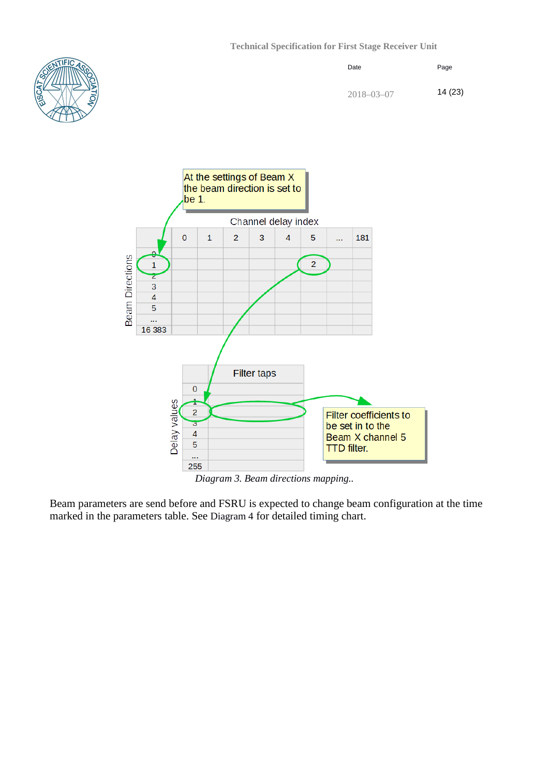





*Diagram 3. Beam directions mapping..*

<span id="page-13-0"></span>Beam parameters are send before and FSRU is expected to change beam configuration at the time marked in the parameters table. See [Diagram 4](#page-14-2) for detailed timing chart.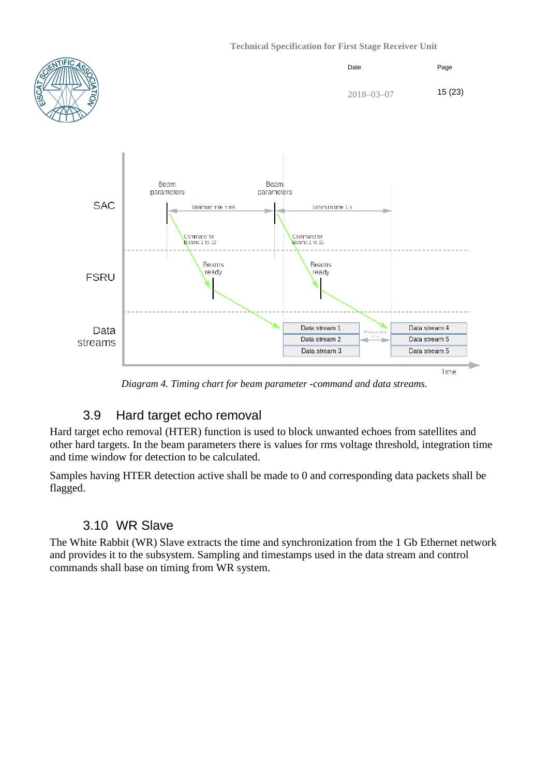

*Diagram 4. Timing chart for beam parameter -command and data streams.*

## <span id="page-14-2"></span>3.9 Hard target echo removal

<span id="page-14-0"></span>Hard target echo removal (HTER) function is used to block unwanted echoes from satellites and other hard targets. In the beam parameters there is values for rms voltage threshold, integration time and time window for detection to be calculated.

Samples having HTER detection active shall be made to 0 and corresponding data packets shall be flagged.

## 3.10 WR Slave

<span id="page-14-1"></span>The White Rabbit (WR) Slave extracts the time and synchronization from the 1 Gb Ethernet network and provides it to the subsystem. Sampling and timestamps used in the data stream and control commands shall base on timing from WR system.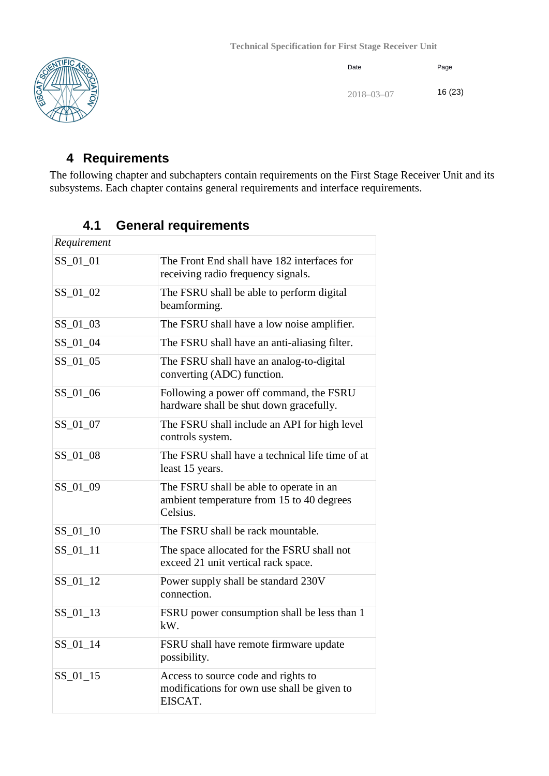

| Date             | Page    |
|------------------|---------|
| $2018 - 03 - 07$ | 16 (23) |

## <span id="page-15-0"></span>**4 Requirements**

The following chapter and subchapters contain requirements on the First Stage Receiver Unit and its subsystems. Each chapter contains general requirements and interface requirements.

## **4.1 General requirements**

<span id="page-15-1"></span>

| Requirement |                                                                                                  |
|-------------|--------------------------------------------------------------------------------------------------|
| SS_01_01    | The Front End shall have 182 interfaces for<br>receiving radio frequency signals.                |
| SS_01_02    | The FSRU shall be able to perform digital<br>beamforming.                                        |
| SS_01_03    | The FSRU shall have a low noise amplifier.                                                       |
| SS_01_04    | The FSRU shall have an anti-aliasing filter.                                                     |
| SS_01_05    | The FSRU shall have an analog-to-digital<br>converting (ADC) function.                           |
| SS_01_06    | Following a power off command, the FSRU<br>hardware shall be shut down gracefully.               |
| SS_01_07    | The FSRU shall include an API for high level<br>controls system.                                 |
| SS_01_08    | The FSRU shall have a technical life time of at<br>least 15 years.                               |
| SS 01 09    | The FSRU shall be able to operate in an<br>ambient temperature from 15 to 40 degrees<br>Celsius. |
| $SS_01_10$  | The FSRU shall be rack mountable.                                                                |
| $SS_01_11$  | The space allocated for the FSRU shall not<br>exceed 21 unit vertical rack space.                |
| SS_01_12    | Power supply shall be standard 230V<br>connection.                                               |
| $SS_01_13$  | FSRU power consumption shall be less than 1<br>kW.                                               |
| $SS_01_14$  | FSRU shall have remote firmware update<br>possibility.                                           |
| $SS_01_15$  | Access to source code and rights to<br>modifications for own use shall be given to<br>EISCAT.    |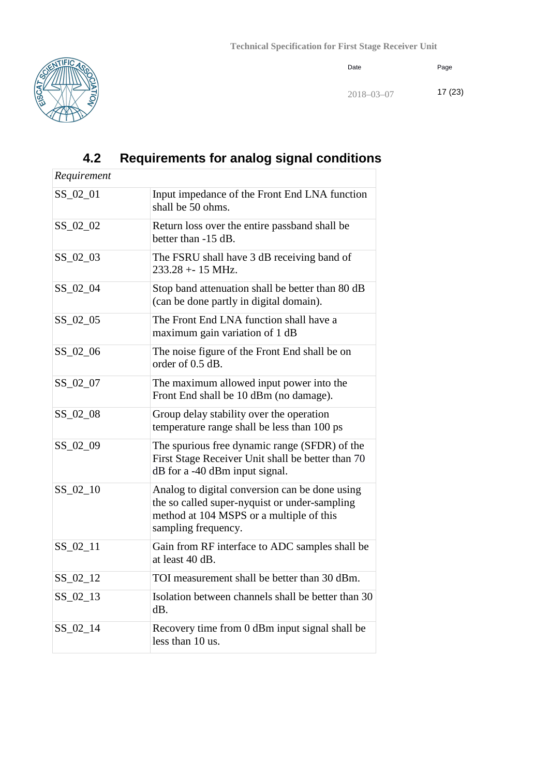

Date Page

# <span id="page-16-0"></span>**4.2 Requirements for analog signal conditions**

| Requirement |                                                                                                                                                                    |
|-------------|--------------------------------------------------------------------------------------------------------------------------------------------------------------------|
| SS_02_01    | Input impedance of the Front End LNA function<br>shall be 50 ohms.                                                                                                 |
| SS_02_02    | Return loss over the entire passband shall be<br>better than -15 dB.                                                                                               |
| SS_02_03    | The FSRU shall have 3 dB receiving band of<br>$233.28 + -15$ MHz.                                                                                                  |
| SS_02_04    | Stop band attenuation shall be better than 80 dB<br>(can be done partly in digital domain).                                                                        |
| SS_02_05    | The Front End LNA function shall have a<br>maximum gain variation of 1 dB                                                                                          |
| SS_02_06    | The noise figure of the Front End shall be on<br>order of 0.5 dB.                                                                                                  |
| $SS_02_07$  | The maximum allowed input power into the<br>Front End shall be 10 dBm (no damage).                                                                                 |
| SS_02_08    | Group delay stability over the operation<br>temperature range shall be less than 100 ps                                                                            |
| SS_02_09    | The spurious free dynamic range (SFDR) of the<br>First Stage Receiver Unit shall be better than 70<br>dB for a -40 dBm input signal.                               |
| SS_02_10    | Analog to digital conversion can be done using<br>the so called super-nyquist or under-sampling<br>method at 104 MSPS or a multiple of this<br>sampling frequency. |
| $SS_02_11$  | Gain from RF interface to ADC samples shall be<br>at least 40 dB.                                                                                                  |
| $SS_02_12$  | TOI measurement shall be better than 30 dBm.                                                                                                                       |
| $SS_02_13$  | Isolation between channels shall be better than 30<br>dB.                                                                                                          |
| $SS_02_14$  | Recovery time from 0 dBm input signal shall be<br>less than 10 us.                                                                                                 |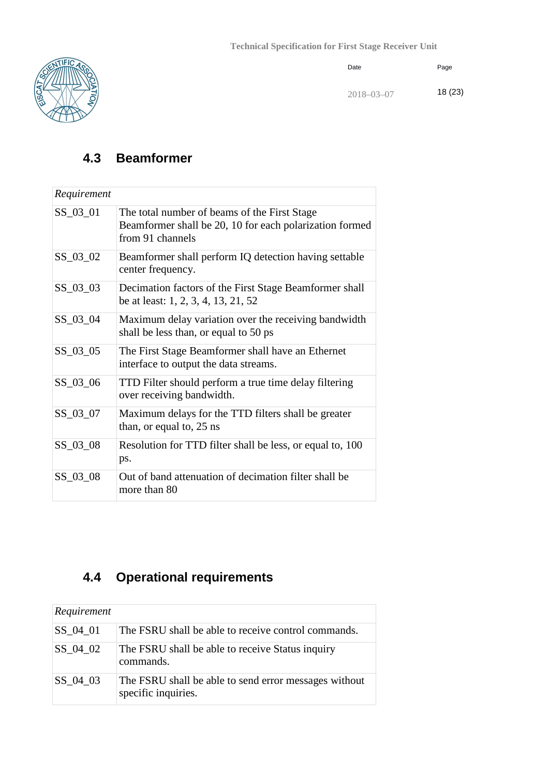

| Date             | Page   |
|------------------|--------|
| $2018 - 03 - 07$ | 18(23) |

## <span id="page-17-0"></span>**4.3 Beamformer**

| Requirement |                                                                                                                             |
|-------------|-----------------------------------------------------------------------------------------------------------------------------|
| $SS_03_01$  | The total number of beams of the First Stage<br>Beamformer shall be 20, 10 for each polarization formed<br>from 91 channels |
| SS_03_02    | Beamformer shall perform IQ detection having settable<br>center frequency.                                                  |
| $SS_03_03$  | Decimation factors of the First Stage Beamformer shall<br>be at least: 1, 2, 3, 4, 13, 21, 52                               |
| $SS_03_04$  | Maximum delay variation over the receiving bandwidth<br>shall be less than, or equal to 50 ps                               |
| SS_03_05    | The First Stage Beamformer shall have an Ethernet<br>interface to output the data streams.                                  |
| SS_03_06    | TTD Filter should perform a true time delay filtering<br>over receiving bandwidth.                                          |
| SS_03_07    | Maximum delays for the TTD filters shall be greater<br>than, or equal to, 25 ns                                             |
| SS_03_08    | Resolution for TTD filter shall be less, or equal to, 100<br>ps.                                                            |
| SS_03_08    | Out of band attenuation of decimation filter shall be<br>more than 80                                                       |

# <span id="page-17-1"></span>**4.4 Operational requirements**

| Requirement |                                                                              |
|-------------|------------------------------------------------------------------------------|
|             |                                                                              |
| $SS_04_01$  | The FSRU shall be able to receive control commands.                          |
| $SS_04_02$  | The FSRU shall be able to receive Status inquiry<br>commands.                |
| $SS_04_03$  | The FSRU shall be able to send error messages without<br>specific inquiries. |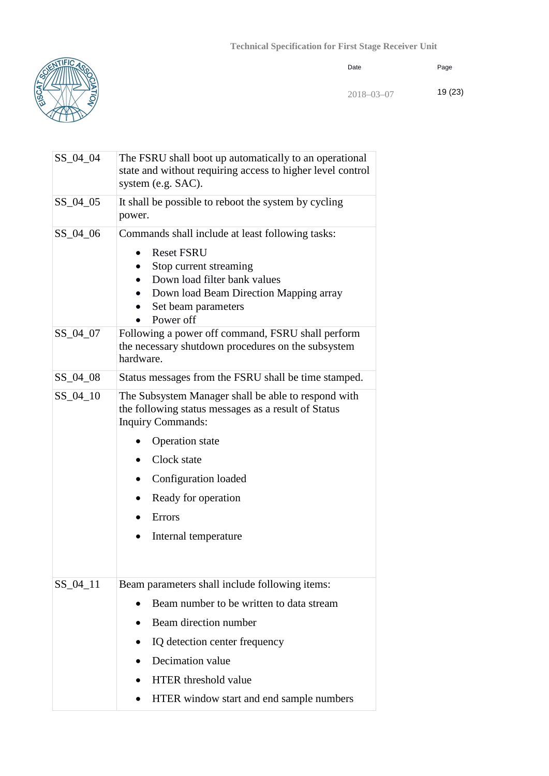Date



|  |  | Page |
|--|--|------|
|  |  |      |

2018–03–07 19 (23)

| $SS_04_04$             | The FSRU shall boot up automatically to an operational<br>state and without requiring access to higher level control<br>system (e.g. SAC).                                                                                                                                                                |  |
|------------------------|-----------------------------------------------------------------------------------------------------------------------------------------------------------------------------------------------------------------------------------------------------------------------------------------------------------|--|
| $SS_04_05$             | It shall be possible to reboot the system by cycling<br>power.                                                                                                                                                                                                                                            |  |
| $SS_04_06$<br>SS_04_07 | Commands shall include at least following tasks:<br><b>Reset FSRU</b><br>$\bullet$<br>Stop current streaming<br>Down load filter bank values<br>$\bullet$<br>Down load Beam Direction Mapping array<br>$\bullet$<br>Set beam parameters<br>Power off<br>Following a power off command, FSRU shall perform |  |
|                        | the necessary shutdown procedures on the subsystem<br>hardware.                                                                                                                                                                                                                                           |  |
| $SS_04_08$             | Status messages from the FSRU shall be time stamped.                                                                                                                                                                                                                                                      |  |
| SS_04_10               | The Subsystem Manager shall be able to respond with<br>the following status messages as a result of Status<br><b>Inquiry Commands:</b><br><b>Operation</b> state<br>Clock state<br>Configuration loaded<br>٠<br>Ready for operation<br>$\bullet$<br>Errors<br>$\bullet$<br>Internal temperature           |  |
| SS_04_11               | Beam parameters shall include following items:<br>Beam number to be written to data stream<br>Beam direction number<br>IQ detection center frequency<br>Decimation value<br><b>HTER</b> threshold value<br>HTER window start and end sample numbers                                                       |  |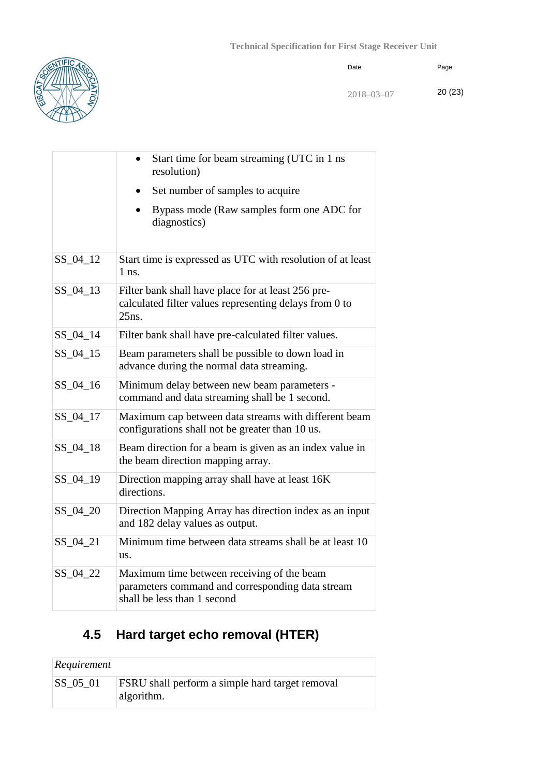

| Date | Page |
|------|------|
|      |      |

2018–03–07 20 (23)

|            | Start time for beam streaming (UTC in 1 ns<br>resolution)                                                                     |
|------------|-------------------------------------------------------------------------------------------------------------------------------|
|            | Set number of samples to acquire                                                                                              |
|            | Bypass mode (Raw samples form one ADC for<br>diagnostics)                                                                     |
| SS_04_12   | Start time is expressed as UTC with resolution of at least<br>$1$ ns.                                                         |
| $SS_04_13$ | Filter bank shall have place for at least 256 pre-<br>calculated filter values representing delays from 0 to<br>25ns.         |
| $SS_04_14$ | Filter bank shall have pre-calculated filter values.                                                                          |
| $SS_04_15$ | Beam parameters shall be possible to down load in<br>advance during the normal data streaming.                                |
| $SS_04_16$ | Minimum delay between new beam parameters -<br>command and data streaming shall be 1 second.                                  |
| SS_04_17   | Maximum cap between data streams with different beam<br>configurations shall not be greater than 10 us.                       |
| SS_04_18   | Beam direction for a beam is given as an index value in<br>the beam direction mapping array.                                  |
| SS_04_19   | Direction mapping array shall have at least 16K<br>directions.                                                                |
| SS_04_20   | Direction Mapping Array has direction index as an input<br>and 182 delay values as output.                                    |
| SS_04_21   | Minimum time between data streams shall be at least 10<br>us.                                                                 |
| SS_04_22   | Maximum time between receiving of the beam<br>parameters command and corresponding data stream<br>shall be less than 1 second |

# <span id="page-19-0"></span>**4.5 Hard target echo removal (HTER)**

| Requirement     |                                                                      |
|-----------------|----------------------------------------------------------------------|
| $\mid$ SS_05_01 | <b>FSRU</b> shall perform a simple hard target removal<br>algorithm. |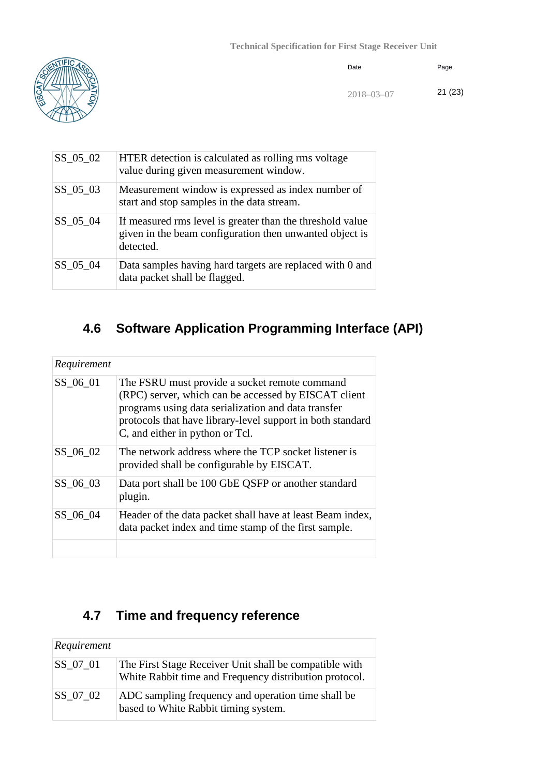

| Date | Page |
|------|------|
|      |      |

2018–03–07 21 (23)

| $SS_05_02$ | HTER detection is calculated as rolling rms voltage<br>value during given measurement window.                                     |
|------------|-----------------------------------------------------------------------------------------------------------------------------------|
| $SS_05_03$ | Measurement window is expressed as index number of<br>start and stop samples in the data stream.                                  |
| SS 05 04   | If measured rms level is greater than the threshold value<br>given in the beam configuration then unwanted object is<br>detected. |
| $SS_05_04$ | Data samples having hard targets are replaced with 0 and<br>data packet shall be flagged.                                         |

# <span id="page-20-0"></span>**4.6 Software Application Programming Interface (API)**

| Requirement |                                                                                                                                                                                                                                                               |
|-------------|---------------------------------------------------------------------------------------------------------------------------------------------------------------------------------------------------------------------------------------------------------------|
| SS 06 01    | The FSRU must provide a socket remote command<br>(RPC) server, which can be accessed by EISCAT client<br>programs using data serialization and data transfer<br>protocols that have library-level support in both standard<br>C, and either in python or Tcl. |
| SS 06 02    | The network address where the TCP socket listener is<br>provided shall be configurable by EISCAT.                                                                                                                                                             |
| SS 06 03    | Data port shall be 100 GbE QSFP or another standard<br>plugin.                                                                                                                                                                                                |
| SS 06 04    | Header of the data packet shall have at least Beam index,<br>data packet index and time stamp of the first sample.                                                                                                                                            |
|             |                                                                                                                                                                                                                                                               |

# <span id="page-20-1"></span>**4.7 Time and frequency reference**

| Requirement |                                                                                                                  |
|-------------|------------------------------------------------------------------------------------------------------------------|
| $SS_07_01$  | The First Stage Receiver Unit shall be compatible with<br>White Rabbit time and Frequency distribution protocol. |
| SS 07 02    | ADC sampling frequency and operation time shall be<br>based to White Rabbit timing system.                       |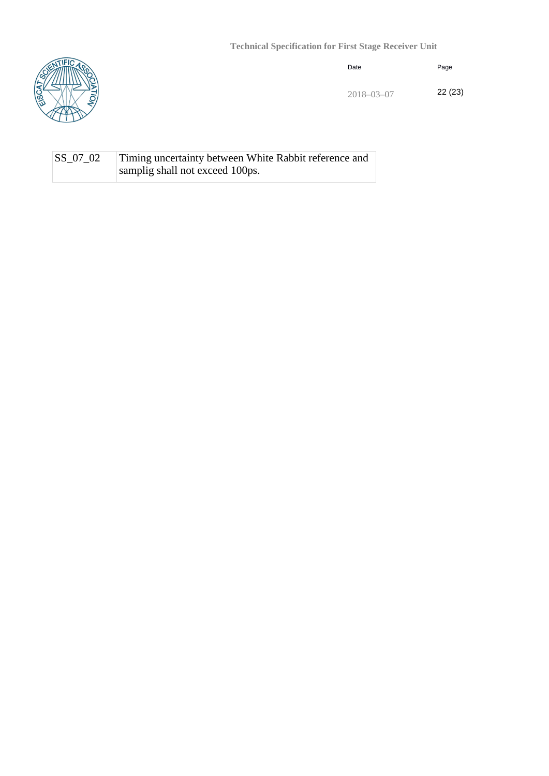

| Date | Page |
|------|------|
|      |      |

2018–03–07 22 (23)

#### SS\_07\_02 Timing uncertainty between White Rabbit reference and samplig shall not exceed 100ps.